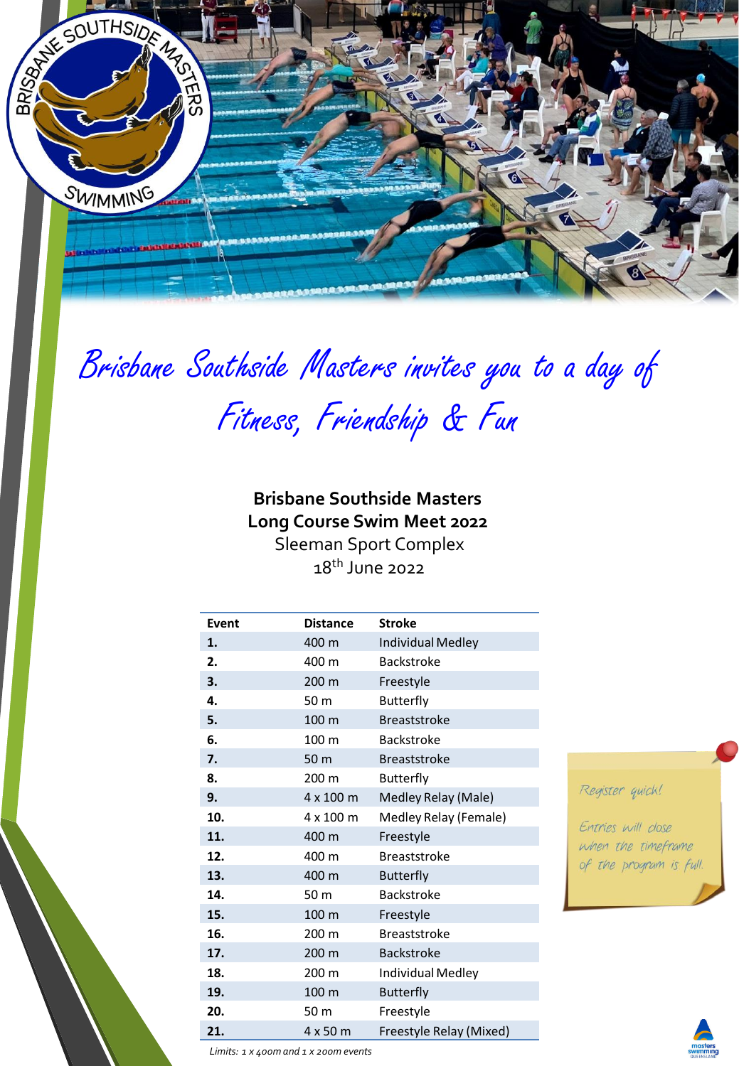

# Brisbane Southside Masters invites you to a day of

Fitness, Friendship & Fun

**Brisbane Southside Masters Long Course Swim Meet 2022**  Sleeman Sport Complex 18th June 2022

| <b>Event</b> | <b>Distance</b> | <b>Stroke</b>           |  |
|--------------|-----------------|-------------------------|--|
| 1.           | 400 m           | Individual Medley       |  |
| 2.           | 400 m           | <b>Backstroke</b>       |  |
| 3.           | 200 m           | Freestyle               |  |
| 4.           | 50 m            | <b>Butterfly</b>        |  |
| 5.           | 100 m           | <b>Breaststroke</b>     |  |
| 6.           | 100 m           | <b>Backstroke</b>       |  |
| 7.           | 50 m            | <b>Breaststroke</b>     |  |
| 8.           | 200 m           | Butterfly               |  |
| 9.           | 4 x 100 m       | Medley Relay (Male)     |  |
| 10.          | 4 x 100 m       | Medley Relay (Female)   |  |
| 11.          | 400 m           | Freestyle               |  |
| 12.          | 400 m           | <b>Breaststroke</b>     |  |
| 13.          | 400 m           | <b>Butterfly</b>        |  |
| 14.          | 50 m            | <b>Backstroke</b>       |  |
| 15.          | 100 m           | Freestyle               |  |
| 16.          | 200 m           | <b>Breaststroke</b>     |  |
| 17.          | 200 m           | <b>Backstroke</b>       |  |
| 18.          | 200 m           | Individual Medley       |  |
| 19.          | 100 m           | <b>Butterfly</b>        |  |
| 20.          | 50 m            | Freestyle               |  |
| 21.          | 4 x 50 m        | Freestyle Relay (Mixed) |  |

## Register quick!

Entries will close when the timeframe of the program is full.